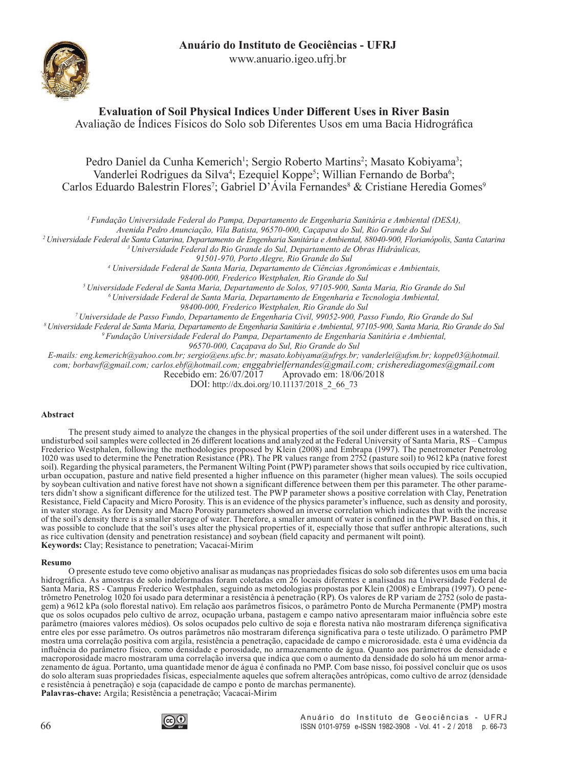www.anuario.igeo.ufrj.br



# **Evaluation of Soil Physical Indices Under Different Uses in River Basin**

Avaliação de Índices Físicos do Solo sob Diferentes Usos em uma Bacia Hidrográfica

Pedro Daniel da Cunha Kemerich<sup>1</sup>; Sergio Roberto Martins<sup>2</sup>; Masato Kobiyama<sup>3</sup>; Vanderlei Rodrigues da Silva<sup>4</sup>; Ezequiel Koppe<sup>5</sup>; Willian Fernando de Borba<sup>6</sup>; Carlos Eduardo Balestrin Flores<sup>7</sup>; Gabriel D'Avila Fernandes<sup>8</sup> & Cristiane Heredia Gomes<sup>9</sup>

*1 Fundação Universidade Federal do Pampa, Departamento de Engenharia Sanitária e Ambiental (DESA),* 

*Avenida Pedro Anunciação, Vila Batista, 96570-000, Caçapava do Sul, Rio Grande do Sul*

*2 Universidade Federal de Santa Catarina, Departamento de Engenharia Sanitária e Ambiental, 88040-900, Florianópolis, Santa Catarina*

*3 Universidade Federal do Rio Grande do Sul, Departamento de Obras Hidráulicas,* 

*91501-970, Porto Alegre, Rio Grande do Sul*

*4 Universidade Federal de Santa Maria, Departamento de Ciências Agronômicas e Ambientais,* 

*98400-000, Frederico Westphalen, Rio Grande do Sul*

*5 Universidade Federal de Santa Maria, Departamento de Solos, 97105-900, Santa Maria, Rio Grande do Sul*

*6 Universidade Federal de Santa Maria, Departamento de Engenharia e Tecnologia Ambiental,* 

*98400-000, Frederico Westphalen, Rio Grande do Sul*

*7 Universidade de Passo Fundo, Departamento de Engenharia Civil, 99052-900, Passo Fundo, Rio Grande do Sul*

*8 Universidade Federal de Santa Maria, Departamento de Engenharia Sanitária e Ambiental, 97105-900, Santa Maria, Rio Grande do Sul*

*9 Fundação Universidade Federal do Pampa, Departamento de Engenharia Sanitária e Ambiental,* 

*96570-000, Caçapava do Sul, Rio Grande do Sul*

*E-mails: eng.kemerich@yahoo.com.br; sergio@ens.ufsc.br; masato.kobiyama@ufrgs.br; vanderlei@ufsm.br; koppe03@hotmail. com; borbawf@gmail.com; carlos.ebf@hotmail.com; enggabrielfernandes@gmail.com; crisherediagomes@gmail.com* Aprovado em: 18/06/2018

DOI: http://dx.doi.org/10.11137/2018\_2\_66\_73

#### **Abstract**

The present study aimed to analyze the changes in the physical properties of the soil under different uses in a watershed. The undisturbed soil samples were collected in 26 different locations and analyzed at the Federal University of Santa Maria, RS – Campus Frederico Westphalen, following the methodologies proposed by Klein (2008) and Embrapa (1997). The penetrometer Penetrolog 1020 was used to determine the Penetration Resistance (PR). The PR values range from 2752 (pasture soil) to 9612 kPa (native forest soil). Regarding the physical parameters, the Permanent Wilting Point (PWP) parameter shows that soils occupied by rice cultivation, urban occupation, pasture and native field presented a higher influence on this parameter (higher mean values). The soils occupied by soybean cultivation and native forest have not shown a significant difference between them per this parameter. The other parameters didn't show a significant difference for the utilized test. The PWP parameter shows a p Resistance, Field Capacity and Micro Porosity. This is an evidence of the physics parameter's influence, such as density and porosity, in water storage. As for Density and Macro Porosity parameters showed an inverse correlation which indicates that with the increase of the soil's density there is a smaller storage of water. Therefore, a smaller amount of water is confined in the PWP. Based on this, it was possible to conclude that the soil's uses alter the physical properties of it, especially those that suffer anthropic alterations, such as rice cultivation (density and penetration resistance) and soybean (field capacity and permanent wilt point). **Keywords:** Clay; Resistance to penetration; Vacacaí-Mirim

#### **Resumo**

O presente estudo teve como objetivo analisar as mudanças nas propriedades físicas do solo sob diferentes usos em uma bacia hidrográfica. As amostras de solo indeformadas foram coletadas em 26 locais diferentes e analisadas na Universidade Federal de Santa Maria, RS - Campus Frederico Westphalen, seguindo as metodologias propostas por Klein (2008) e Embrapa (1997). O penetrômetro Penetrolog 1020 foi usado para determinar a resistência à penetração (RP). Os valores de RP variam de 2752 (solo de pastagem) a 9612 kPa (solo florestal nativo). Em relação aos parâmetros físicos, o parâmetro Ponto de Murcha Permanente (PMP) mostra que os solos ocupados pelo cultivo de arroz, ocupação urbana, pastagem e campo nativo apresentaram maior influência sobre este parâmetro (maiores valores médios). Os solos ocupados pelo cultivo de soja e floresta nativa não mostraram diferença significativa entre eles por esse parâmetro. Os outros parâmetros não mostraram diferença significativa para o teste utilizado. O parâmetro PMP mostra uma correlação positiva com argila, resistência a penetração, capacidade de campo e microrosidade. esta é uma evidência da influência do parâmetro físico, como densidade e porosidade, no armazenamento de água. Quanto aos parâmetros de densidade e macroporosidade macro mostraram uma correlação inversa que indica que com o aumento da densidade do solo há um menor armazenamento de água. Portanto, uma quantidade menor de água é confinada no PMP. Com base nisso, foi possível concluir que os usos do solo alteram suas propriedades físicas, especialmente aqueles que sofrem alterações antrópicas, como cultivo de arroz (densidade e resistência à penetração) e soja (capacidade de campo e ponto de marchas permanente). **Palavras-chave:** Argila; Resistência a penetração; Vacacaí-Mirim

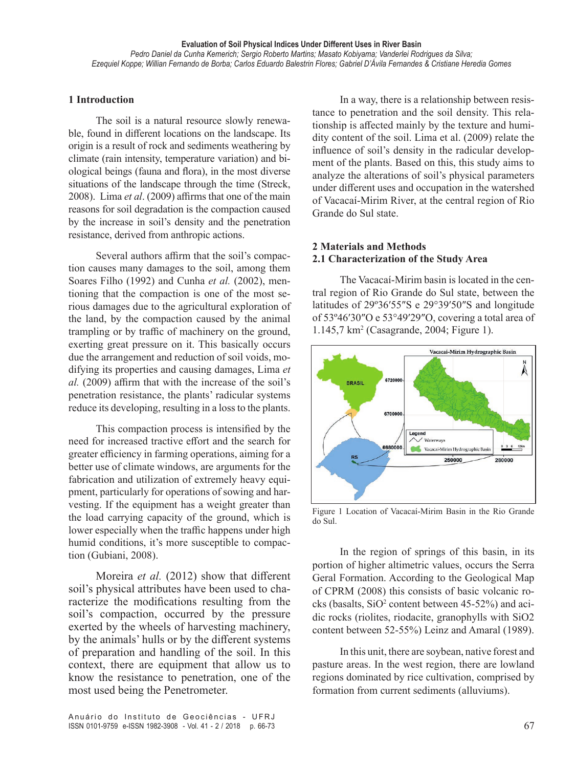**Evaluation of Soil Physical Indices Under Different Uses in River Basin**  *Pedro Daniel da Cunha Kemerich; Sergio Roberto Martins; Masato Kobiyama; Vanderlei Rodrigues da Silva; Ezequiel Koppe; Willian Fernando de Borba; Carlos Eduardo Balestrin Flores; Gabriel D'Ávila Fernandes & Cristiane Heredia Gomes*

### **1 Introduction**

The soil is a natural resource slowly renewable, found in different locations on the landscape. Its origin is a result of rock and sediments weathering by climate (rain intensity, temperature variation) and biological beings (fauna and flora), in the most diverse situations of the landscape through the time (Streck, 2008). Lima *et al*. (2009) affirms that one of the main reasons for soil degradation is the compaction caused by the increase in soil's density and the penetration resistance, derived from anthropic actions.

Several authors affirm that the soil's compaction causes many damages to the soil, among them Soares Filho (1992) and Cunha *et al.* (2002), mentioning that the compaction is one of the most serious damages due to the agricultural exploration of the land, by the compaction caused by the animal trampling or by traffic of machinery on the ground, exerting great pressure on it. This basically occurs due the arrangement and reduction of soil voids, modifying its properties and causing damages, Lima *et al.* (2009) affirm that with the increase of the soil's penetration resistance, the plants' radicular systems reduce its developing, resulting in a loss to the plants.

This compaction process is intensified by the need for increased tractive effort and the search for greater efficiency in farming operations, aiming for a better use of climate windows, are arguments for the fabrication and utilization of extremely heavy equipment, particularly for operations of sowing and harvesting. If the equipment has a weight greater than the load carrying capacity of the ground, which is lower especially when the traffic happens under high humid conditions, it's more susceptible to compaction (Gubiani, 2008).

Moreira *et al.* (2012) show that different soil's physical attributes have been used to characterize the modifications resulting from the soil's compaction, occurred by the pressure exerted by the wheels of harvesting machinery, by the animals' hulls or by the different systems of preparation and handling of the soil. In this context, there are equipment that allow us to know the resistance to penetration, one of the most used being the Penetrometer.

Anuário do Instituto de Geociências - UFRJ ISSN 0101-9759 e-ISSN 1982-3908 - Vol. 41 - 2 / 2018 p. 66-73 67

In a way, there is a relationship between resistance to penetration and the soil density. This relationship is affected mainly by the texture and humidity content of the soil. Lima et al. (2009) relate the influence of soil's density in the radicular development of the plants. Based on this, this study aims to analyze the alterations of soil's physical parameters under different uses and occupation in the watershed of Vacacaí-Mirim River, at the central region of Rio Grande do Sul state.

# **2 Materials and Methods 2.1 Characterization of the Study Area**

The Vacacaí-Mirim basin is located in the central region of Rio Grande do Sul state, between the latitudes of 29º36′55″S e 29°39′50″S and longitude of 53º46′30″O e 53°49′29″O, covering a total area of 1.145,7 km<sup>2</sup> (Casagrande, 2004; Figure 1).



Figure 1 Location of Vacacaí-Mirim Basin in the Rio Grande do Sul.

In the region of springs of this basin, in its portion of higher altimetric values, occurs the Serra Geral Formation. According to the Geological Map of CPRM (2008) this consists of basic volcanic rocks (basalts,  $SiO<sup>2</sup>$  content between 45-52%) and acidic rocks (riolites, riodacite, granophylls with SiO2 content between 52-55%) Leinz and Amaral (1989).

In this unit, there are soybean, native forest and pasture areas. In the west region, there are lowland regions dominated by rice cultivation, comprised by formation from current sediments (alluviums).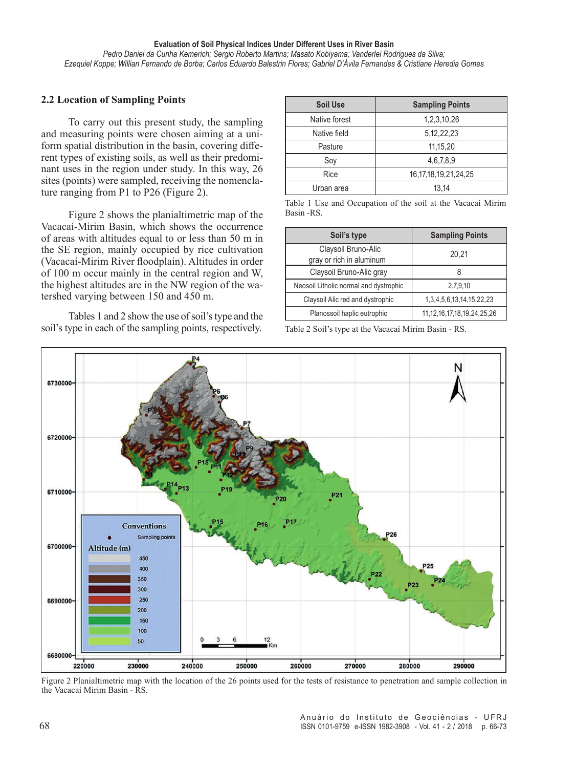#### **Evaluation of Soil Physical Indices Under Different Uses in River Basin**

*Pedro Daniel da Cunha Kemerich; Sergio Roberto Martins; Masato Kobiyama; Vanderlei Rodrigues da Silva; Ezequiel Koppe; Willian Fernando de Borba; Carlos Eduardo Balestrin Flores; Gabriel D'Ávila Fernandes & Cristiane Heredia Gomes*

#### **2.2 Location of Sampling Points**

To carry out this present study, the sampling and measuring points were chosen aiming at a uniform spatial distribution in the basin, covering different types of existing soils, as well as their predominant uses in the region under study. In this way, 26 sites (points) were sampled, receiving the nomenclature ranging from P1 to P26 (Figure 2).

Figure 2 shows the planialtimetric map of the Vacacaí-Mirim Basin, which shows the occurrence of areas with altitudes equal to or less than 50 m in the SE region, mainly occupied by rice cultivation (Vacacaí-Mirim River floodplain). Altitudes in order of 100 m occur mainly in the central region and W, the highest altitudes are in the NW region of the watershed varying between 150 and 450 m.

Tables 1 and 2 show the use of soil's type and the soil's type in each of the sampling points, respectively.

| <b>Soil Use</b> | <b>Sampling Points</b>     |  |  |
|-----------------|----------------------------|--|--|
| Native forest   | 1,2,3,10,26                |  |  |
| Native field    | 5, 12, 22, 23              |  |  |
| Pasture         | 11,15,20                   |  |  |
| Soy             | 4,6,7,8,9                  |  |  |
| Rice            | 16, 17, 18, 19, 21, 24, 25 |  |  |
| Urban area      | 13,14                      |  |  |

Table 1 Use and Occupation of the soil at the Vacacaí Mirim Basin -RS.

| Soil's type                                     | <b>Sampling Points</b>             |  |  |
|-------------------------------------------------|------------------------------------|--|--|
| Claysoil Bruno-Alic<br>gray or rich in aluminum | 20,21                              |  |  |
| Claysoil Bruno-Alic gray                        |                                    |  |  |
| Neosoil Litholic normal and dystrophic          | 2,7,9,10                           |  |  |
| Claysoil Alic red and dystrophic                | 1, 3, 4, 5, 6, 13, 14, 15, 22, 23  |  |  |
| Planossoil haplic eutrophic                     | 11, 12, 16, 17, 18, 19, 24, 25, 26 |  |  |

Table 2 Soil's type at the Vacacaí Mirim Basin - RS.



Figure 2 Planialtimetric map with the location of the 26 points used for the tests of resistance to penetration and sample collection in the Vacacaí Mirim Basin - RS.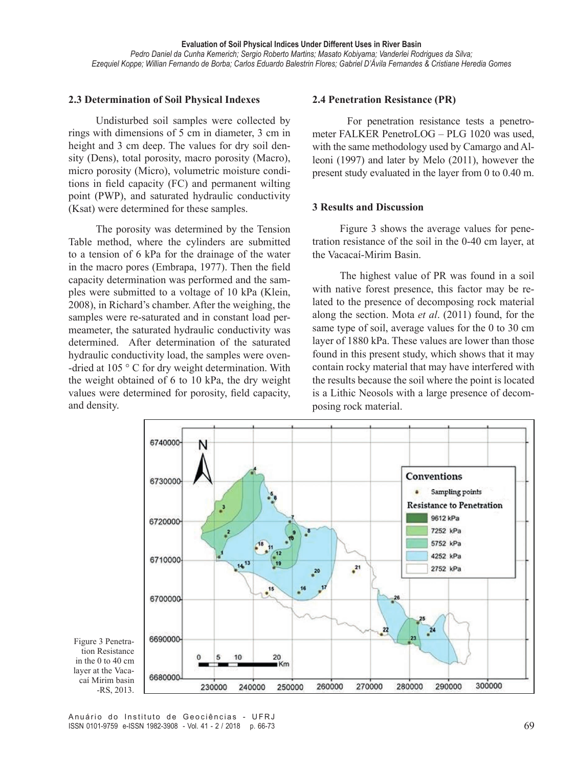### **2.3 Determination of Soil Physical Indexes**

Undisturbed soil samples were collected by rings with dimensions of 5 cm in diameter, 3 cm in height and 3 cm deep. The values for dry soil density (Dens), total porosity, macro porosity (Macro), micro porosity (Micro), volumetric moisture conditions in field capacity (FC) and permanent wilting point (PWP), and saturated hydraulic conductivity (Ksat) were determined for these samples.

The porosity was determined by the Tension Table method, where the cylinders are submitted to a tension of 6 kPa for the drainage of the water in the macro pores (Embrapa, 1977). Then the field capacity determination was performed and the samples were submitted to a voltage of 10 kPa (Klein, 2008), in Richard's chamber. After the weighing, the samples were re-saturated and in constant load permeameter, the saturated hydraulic conductivity was determined. After determination of the saturated hydraulic conductivity load, the samples were oven- -dried at 105 ° C for dry weight determination. With the weight obtained of 6 to 10 kPa, the dry weight values were determined for porosity, field capacity, and density.

#### **2.4 Penetration Resistance (PR)**

For penetration resistance tests a penetrometer FALKER PenetroLOG – PLG 1020 was used, with the same methodology used by Camargo and Alleoni (1997) and later by Melo (2011), however the present study evaluated in the layer from 0 to 0.40 m.

#### **3 Results and Discussion**

Figure 3 shows the average values for penetration resistance of the soil in the 0-40 cm layer, at the Vacacaí-Mirim Basin.

The highest value of PR was found in a soil with native forest presence, this factor may be related to the presence of decomposing rock material along the section. Mota *et al*. (2011) found, for the same type of soil, average values for the 0 to 30 cm layer of 1880 kPa. These values are lower than those found in this present study, which shows that it may contain rocky material that may have interfered with the results because the soil where the point is located is a Lithic Neosols with a large presence of decomposing rock material.



Figure 3 Penetration Resistance in the 0 to 40 cm layer at the Vacacaí Mirim basin -RS, 2013.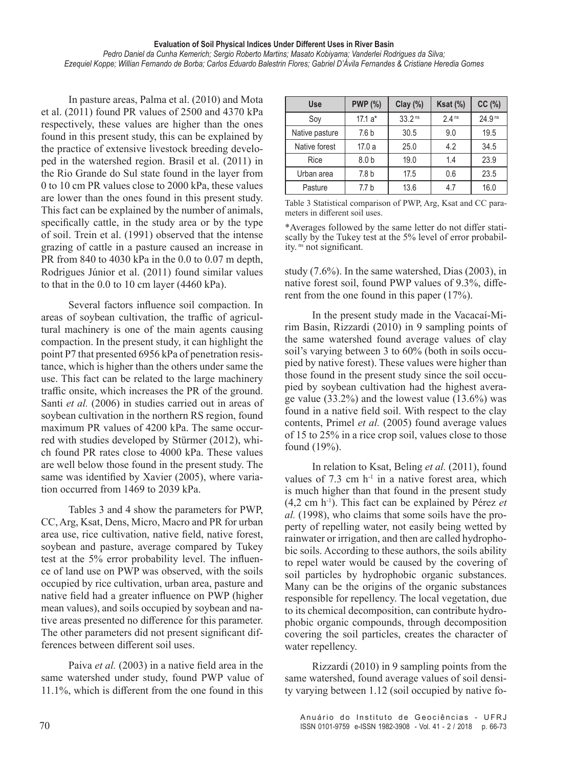In pasture areas, Palma et al. (2010) and Mota et al. (2011) found PR values of 2500 and 4370 kPa respectively, these values are higher than the ones found in this present study, this can be explained by the practice of extensive livestock breeding developed in the watershed region. Brasil et al. (2011) in the Rio Grande do Sul state found in the layer from 0 to 10 cm PR values close to 2000 kPa, these values are lower than the ones found in this present study. This fact can be explained by the number of animals, specifically cattle, in the study area or by the type of soil. Trein et al. (1991) observed that the intense grazing of cattle in a pasture caused an increase in PR from 840 to 4030 kPa in the 0.0 to 0.07 m depth, Rodrigues Júnior et al. (2011) found similar values to that in the 0.0 to 10 cm layer (4460 kPa).

Several factors influence soil compaction. In areas of soybean cultivation, the traffic of agricultural machinery is one of the main agents causing compaction. In the present study, it can highlight the point P7 that presented 6956 kPa of penetration resistance, which is higher than the others under same the use. This fact can be related to the large machinery traffic onsite, which increases the PR of the ground. Santi *et al.* (2006) in studies carried out in areas of soybean cultivation in the northern RS region, found maximum PR values of 4200 kPa. The same occurred with studies developed by Stürmer (2012), which found PR rates close to 4000 kPa. These values are well below those found in the present study. The same was identified by Xavier (2005), where variation occurred from 1469 to 2039 kPa.

Tables 3 and 4 show the parameters for PWP, CC, Arg, Ksat, Dens, Micro, Macro and PR for urban area use, rice cultivation, native field, native forest, soybean and pasture, average compared by Tukey test at the 5% error probability level. The influence of land use on PWP was observed, with the soils occupied by rice cultivation, urban area, pasture and native field had a greater influence on PWP (higher mean values), and soils occupied by soybean and native areas presented no difference for this parameter. The other parameters did not present significant differences between different soil uses.

Paiva *et al.* (2003) in a native field area in the same watershed under study, found PWP value of 11.1%, which is different from the one found in this

| <b>Use</b>     | <b>PWP (%)</b>   | Clay(%)            | Ksat $(\%)$       | CC(%)   |
|----------------|------------------|--------------------|-------------------|---------|
| Soy            | $17.1a*$         | 33.2 <sup>ns</sup> | 2.4 <sup>ns</sup> | 24.9 ns |
| Native pasture | 7.6 <sub>b</sub> | 30.5               | 9.0               | 19.5    |
| Native forest  | 17.0a            | 25.0               | 4.2               | 34.5    |
| Rice           | 8.0 <sub>b</sub> | 19.0               | 1.4               | 23.9    |
| Urban area     | 7.8 <sub>b</sub> | 17.5               | 0.6               | 23.5    |
| Pasture        | 7.7 <sub>b</sub> | 13.6               | 4.7               | 16.0    |

Table 3 Statistical comparison of PWP, Arg, Ksat and CC parameters in different soil uses.

\*Averages followed by the same letter do not differ statiscally by the Tukey test at the 5% level of error probability. ns not significant.

study (7.6%). In the same watershed, Dias (2003), in native forest soil, found PWP values of 9.3%, different from the one found in this paper (17%).

In the present study made in the Vacacaí-Mirim Basin, Rizzardi (2010) in 9 sampling points of the same watershed found average values of clay soil's varying between 3 to 60% (both in soils occupied by native forest). These values were higher than those found in the present study since the soil occupied by soybean cultivation had the highest average value (33.2%) and the lowest value (13.6%) was found in a native field soil. With respect to the clay contents, Primel *et al.* (2005) found average values of 15 to 25% in a rice crop soil, values close to those found (19%).

In relation to Ksat, Beling *et al.* (2011), found values of  $7.3 \text{ cm} \text{ h}^{-1}$  in a native forest area, which is much higher than that found in the present study (4,2 cm h-1). This fact can be explained by Pérez *et al.* (1998), who claims that some soils have the property of repelling water, not easily being wetted by rainwater or irrigation, and then are called hydrophobic soils. According to these authors, the soils ability to repel water would be caused by the covering of soil particles by hydrophobic organic substances. Many can be the origins of the organic substances responsible for repellency. The local vegetation, due to its chemical decomposition, can contribute hydrophobic organic compounds, through decomposition covering the soil particles, creates the character of water repellency.

Rizzardi (2010) in 9 sampling points from the same watershed, found average values of soil density varying between 1.12 (soil occupied by native fo-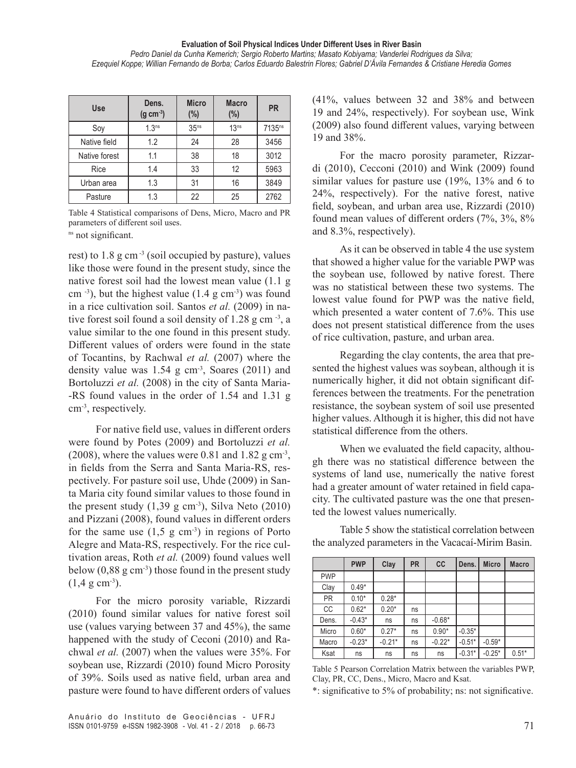| <b>Use</b>    | Dens.<br>$(g cm-3)$ | <b>Micro</b><br>(%) |                  | <b>PR</b>          |
|---------------|---------------------|---------------------|------------------|--------------------|
| Soy           | 1.3 <sup>ns</sup>   | 35 <sup>ns</sup>    | 13 <sup>ns</sup> | 7135 <sup>ns</sup> |
| Native field  | 1.2                 | 24                  | 28               | 3456               |
| Native forest | 1.1                 | 38                  | 18               | 3012               |
| Rice          | 1.4                 | 33                  | 12               | 5963               |
| Urban area    | 1.3                 | 31                  | 16               | 3849               |
| Pasture       | 1.3                 | 22                  | 25               | 2762               |

Table 4 Statistical comparisons of Dens, Micro, Macro and PR parameters of different soil uses.

<sup>ns</sup> not significant.

rest) to  $1.8$  g cm<sup>-3</sup> (soil occupied by pasture), values like those were found in the present study, since the native forest soil had the lowest mean value (1.1 g cm  $^{-3}$ ), but the highest value (1.4 g cm $^{-3}$ ) was found in a rice cultivation soil. Santos *et al.* (2009) in native forest soil found a soil density of 1.28 g cm<sup>-3</sup>, a value similar to the one found in this present study. Different values of orders were found in the state of Tocantins, by Rachwal *et al.* (2007) where the density value was  $1.54$  g cm<sup>-3</sup>, Soares (2011) and Bortoluzzi *et al.* (2008) in the city of Santa Maria--RS found values in the order of 1.54 and 1.31 g cm<sup>-3</sup>, respectively.

For native field use, values in different orders were found by Potes (2009) and Bortoluzzi *et al.*  (2008), where the values were 0.81 and 1.82  $\rm g \, cm^{-3}$ , in fields from the Serra and Santa Maria-RS, respectively. For pasture soil use, Uhde (2009) in Santa Maria city found similar values to those found in the present study  $(1,39 \text{ g cm}^{-3})$ , Silva Neto  $(2010)$ and Pizzani (2008), found values in different orders for the same use  $(1,5 \text{ g cm}^{-3})$  in regions of Porto Alegre and Mata-RS, respectively. For the rice cultivation areas, Roth *et al.* (2009) found values well below  $(0,88 \text{ g cm}^{-3})$  those found in the present study  $(1,4 \text{ g cm}^{-3})$ .

For the micro porosity variable, Rizzardi (2010) found similar values for native forest soil use (values varying between 37 and 45%), the same happened with the study of Ceconi (2010) and Rachwal *et al.* (2007) when the values were 35%. For soybean use, Rizzardi (2010) found Micro Porosity of 39%. Soils used as native field, urban area and pasture were found to have different orders of values

Anuário do Instituto de Geociências - UFRJ ISSN 0101-9759 e-ISSN 1982-3908 - Vol. 41 - 2 / 2018 p. 66-73 71

(41%, values between 32 and 38% and between 19 and 24%, respectively). For soybean use, Wink (2009) also found different values, varying between 19 and 38%.

For the macro porosity parameter, Rizzardi (2010), Cecconi (2010) and Wink (2009) found similar values for pasture use (19%, 13% and 6 to 24%, respectively). For the native forest, native field, soybean, and urban area use, Rizzardi (2010) found mean values of different orders (7%, 3%, 8% and 8.3%, respectively).

As it can be observed in table 4 the use system that showed a higher value for the variable PWP was the soybean use, followed by native forest. There was no statistical between these two systems. The lowest value found for PWP was the native field, which presented a water content of 7.6%. This use does not present statistical difference from the uses of rice cultivation, pasture, and urban area.

Regarding the clay contents, the area that presented the highest values was soybean, although it is numerically higher, it did not obtain significant differences between the treatments. For the penetration resistance, the soybean system of soil use presented higher values. Although it is higher, this did not have statistical difference from the others.

When we evaluated the field capacity, although there was no statistical difference between the systems of land use, numerically the native forest had a greater amount of water retained in field capacity. The cultivated pasture was the one that presented the lowest values numerically.

Table 5 show the statistical correlation between the analyzed parameters in the Vacacaí-Mirim Basin.

|            | <b>PWP</b> | Clay     | <b>PR</b> | cc       | Dens.    | <b>Micro</b> | <b>Macro</b> |
|------------|------------|----------|-----------|----------|----------|--------------|--------------|
| <b>PWP</b> |            |          |           |          |          |              |              |
| Clay       | $0.49*$    |          |           |          |          |              |              |
| <b>PR</b>  | $0.10*$    | $0.28*$  |           |          |          |              |              |
| <b>CC</b>  | $0.62*$    | $0.20*$  | ns        |          |          |              |              |
| Dens.      | $-0.43*$   | ns       | ns        | $-0.68*$ |          |              |              |
| Micro      | $0.60*$    | $0.27*$  | ns        | $0.90*$  | $-0.35*$ |              |              |
| Macro      | $-0.23*$   | $-0.21*$ | ns        | $-0.22*$ | $-0.51*$ | $-0.59*$     |              |
| Ksat       | ns         | ns       | ns        | ns       | $-0.31*$ | $-0.25*$     | $0.51*$      |

Table 5 Pearson Correlation Matrix between the variables PWP, Clay, PR, CC, Dens., Micro, Macro and Ksat.

\*: significative to 5% of probability; ns: not significative.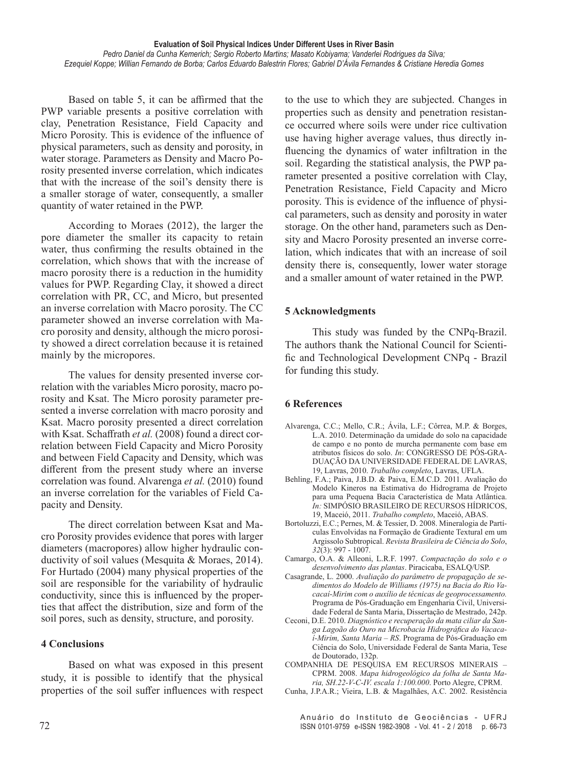Based on table 5, it can be affirmed that the PWP variable presents a positive correlation with clay, Penetration Resistance, Field Capacity and Micro Porosity. This is evidence of the influence of physical parameters, such as density and porosity, in water storage. Parameters as Density and Macro Porosity presented inverse correlation, which indicates that with the increase of the soil's density there is a smaller storage of water, consequently, a smaller quantity of water retained in the PWP.

According to Moraes (2012), the larger the pore diameter the smaller its capacity to retain water, thus confirming the results obtained in the correlation, which shows that with the increase of macro porosity there is a reduction in the humidity values for PWP. Regarding Clay, it showed a direct correlation with PR, CC, and Micro, but presented an inverse correlation with Macro porosity. The CC parameter showed an inverse correlation with Macro porosity and density, although the micro porosity showed a direct correlation because it is retained mainly by the micropores.

The values for density presented inverse correlation with the variables Micro porosity, macro porosity and Ksat. The Micro porosity parameter presented a inverse correlation with macro porosity and Ksat. Macro porosity presented a direct correlation with Ksat. Schaffrath *et al.* (2008) found a direct correlation between Field Capacity and Micro Porosity and between Field Capacity and Density, which was different from the present study where an inverse correlation was found. Alvarenga *et al.* (2010) found an inverse correlation for the variables of Field Capacity and Density.

The direct correlation between Ksat and Macro Porosity provides evidence that pores with larger diameters (macropores) allow higher hydraulic conductivity of soil values (Mesquita & Moraes, 2014). For Hurtado (2004) many physical properties of the soil are responsible for the variability of hydraulic conductivity, since this is influenced by the properties that affect the distribution, size and form of the soil pores, such as density, structure, and porosity.

## **4 Conclusions**

Based on what was exposed in this present study, it is possible to identify that the physical properties of the soil suffer influences with respect

to the use to which they are subjected. Changes in properties such as density and penetration resistance occurred where soils were under rice cultivation use having higher average values, thus directly influencing the dynamics of water infiltration in the soil. Regarding the statistical analysis, the PWP parameter presented a positive correlation with Clay, Penetration Resistance, Field Capacity and Micro porosity. This is evidence of the influence of physical parameters, such as density and porosity in water storage. On the other hand, parameters such as Density and Macro Porosity presented an inverse correlation, which indicates that with an increase of soil density there is, consequently, lower water storage and a smaller amount of water retained in the PWP.

## **5 Acknowledgments**

This study was funded by the CNPq-Brazil. The authors thank the National Council for Scientific and Technological Development CNPq - Brazil for funding this study.

## **6 References**

- Alvarenga, C.C.; Mello, C.R.; Ávila, L.F.; Côrrea, M.P. & Borges, L.A. 2010. Determinação da umidade do solo na capacidade de campo e no ponto de murcha permanente com base em atributos físicos do solo. *In*: CONGRESSO DE PÓS-GRA-DUAÇÃO DA UNIVERSIDADE FEDERAL DE LAVRAS, 19, Lavras, 2010. *Trabalho completo*, Lavras, UFLA.
- Behling, F.A.; Paiva, J.B.D. & Paiva, E.M.C.D. 2011. Avaliação do Modelo Kineros na Estimativa do Hidrograma de Projeto para uma Pequena Bacia Característica de Mata Atlântica. *In:* SIMPÓSIO BRASILEIRO DE RECURSOS HÍDRICOS, 19, Maceió, 2011. *Trabalho completo*, Maceió, ABAS.
- Bortoluzzi, E.C.; Pernes, M. & Tessier, D. 2008. Mineralogia de Partículas Envolvidas na Formação de Gradiente Textural em um Argissolo Subtropical. *Revista Brasileira de Ciência do Solo*, *32*(3): 997 - 1007.
- Camargo, O.A. & Alleoni, L.R.F. 1997. *Compactação do solo e o desenvolvimento das plantas*. Piracicaba, ESALQ/USP.
- Casagrande, L. 2000. *Avaliação do parâmetro de propagação de sedimentos do Modelo de Williams (1975) na Bacia do Rio Vacacaí-Mirim com o auxílio de técnicas de geoprocessamento.* Programa de Pós-Graduação em Engenharia Civil, Universidade Federal de Santa Maria, Dissertação de Mestrado, 242p.
- Ceconi, D.E. 2010. *Diagnóstico e recuperação da mata ciliar da Sanga Lagoão do Ouro na Microbacia Hidrográfica do Vacacaí-Mirim, Santa Maria – RS*. Programa de Pós-Graduação em Ciência do Solo, Universidade Federal de Santa Maria, Tese de Doutorado, 132p.
- COMPANHIA DE PESQUISA EM RECURSOS MINERAIS CPRM. 2008. *Mapa hidrogeológico da folha de Santa Maria, SH.22-V-C-IV. escala 1:100.000*. Porto Alegre, CPRM.
- Cunha, J.P.A.R.; Vieira, L.B. & Magalhães, A.C. 2002. Resistência

Anuário do Instituto de Geociências - UFRJ ISSN 0101-9759 e-ISSN 1982-3908 - Vol. 41 - 2 / 2018 p. 66-73